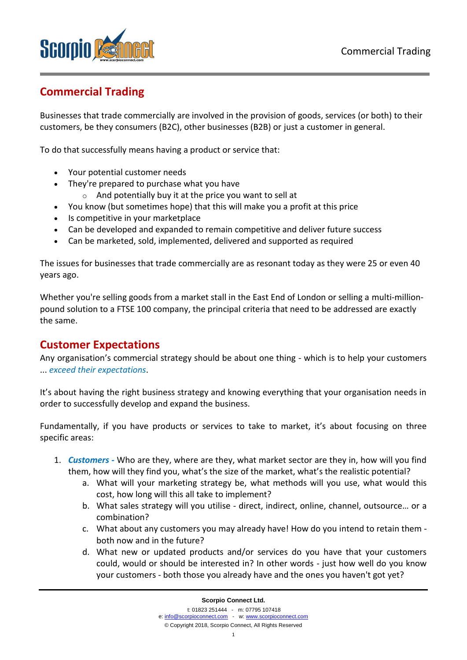

# **Commercial Trading**

Businesses that trade commercially are involved in the provision of goods, services (or both) to their customers, be they consumers (B2C), other businesses (B2B) or just a customer in general.

To do that successfully means having a product or service that:

- Your potential customer needs
- They're prepared to purchase what you have
	- $\circ$  And potentially buy it at the price you want to sell at
- You know (but sometimes hope) that this will make you a profit at this price
- Is competitive in your marketplace
- Can be developed and expanded to remain competitive and deliver future success
- Can be marketed, sold, implemented, delivered and supported as required

The issues for businesses that trade commercially are as resonant today as they were 25 or even 40 years ago.

Whether you're selling goods from a market stall in the East End of London or selling a multi-millionpound solution to a FTSE 100 company, the principal criteria that need to be addressed are exactly the same.

# **Customer Expectations**

Any organisation's commercial strategy should be about one thing - which is to help your customers ... *exceed their expectations*.

It's about having the right business strategy and knowing everything that your organisation needs in order to successfully develop and expand the business.

Fundamentally, if you have products or services to take to market, it's about focusing on three specific areas:

- 1. *Customers -* Who are they, where are they, what market sector are they in, how will you find them, how will they find you, what's the size of the market, what's the realistic potential?
	- a. What will your marketing strategy be, what methods will you use, what would this cost, how long will this all take to implement?
	- b. What sales strategy will you utilise direct, indirect, online, channel, outsource… or a combination?
	- c. What about any customers you may already have! How do you intend to retain them both now and in the future?
	- d. What new or updated products and/or services do you have that your customers could, would or should be interested in? In other words - just how well do you know your customers - both those you already have and the ones you haven't got yet?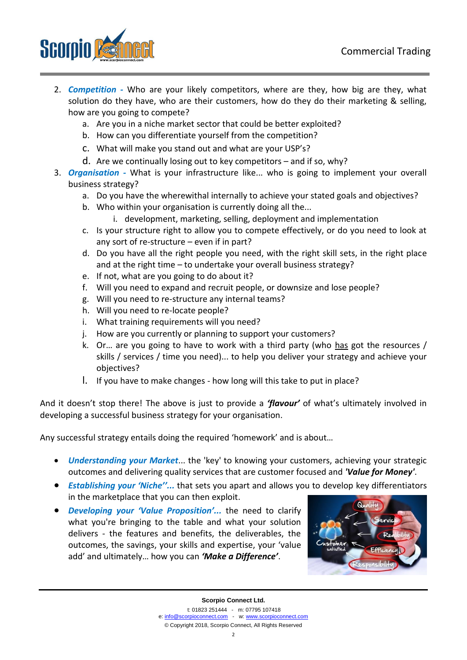

- 2. *Competition -* Who are your likely competitors, where are they, how big are they, what solution do they have, who are their customers, how do they do their marketing & selling, how are you going to compete?
	- a. Are you in a niche market sector that could be better exploited?
	- b. How can you differentiate yourself from the competition?
	- c. What will make you stand out and what are your USP's?
	- d. Are we continually losing out to key competitors and if so, why?
- 3. *Organisation -* What is your infrastructure like... who is going to implement your overall business strategy?
	- a. Do you have the wherewithal internally to achieve your stated goals and objectives?
	- b. Who within your organisation is currently doing all the...
		- i. development, marketing, selling, deployment and implementation
	- c. Is your structure right to allow you to compete effectively, or do you need to look at any sort of re-structure – even if in part?
	- d. Do you have all the right people you need, with the right skill sets, in the right place and at the right time – to undertake your overall business strategy?
	- e. If not, what are you going to do about it?
	- f. Will you need to expand and recruit people, or downsize and lose people?
	- g. Will you need to re-structure any internal teams?
	- h. Will you need to re-locate people?
	- i. What training requirements will you need?
	- j. How are you currently or planning to support your customers?
	- k. Or… are you going to have to work with a third party (who has got the resources / skills / services / time you need)... to help you deliver your strategy and achieve your objectives?
	- l. If you have to make changes how long will this take to put in place?

And it doesn't stop there! The above is just to provide a *'flavour'* of what's ultimately involved in developing a successful business strategy for your organisation.

Any successful strategy entails doing the required 'homework' and is about…

- *Understanding your Market*... the 'key' to knowing your customers, achieving your strategic outcomes and delivering quality services that are customer focused and *'Value for Money'*.
- *Establishing your 'Niche''...* that sets you apart and allows you to develop key differentiators in the marketplace that you can then exploit.
- *Developing your 'Value Proposition'...* the need to clarify what you're bringing to the table and what your solution delivers - the features and benefits, the deliverables, the outcomes, the savings, your skills and expertise, your 'value add' and ultimately… how you can *'Make a Difference'*.

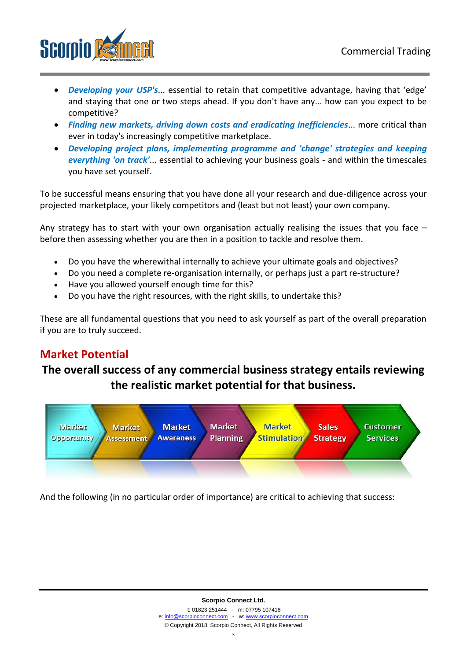

- *Developing your USP's*... essential to retain that competitive advantage, having that 'edge' and staying that one or two steps ahead. If you don't have any... how can you expect to be competitive?
- *Finding new markets, driving down costs and eradicating inefficiencies*... more critical than ever in today's increasingly competitive marketplace.
- *Developing project plans, implementing programme and 'change' strategies and keeping everything 'on track'*... essential to achieving your business goals - and within the timescales you have set yourself.

To be successful means ensuring that you have done all your research and due-diligence across your projected marketplace, your likely competitors and (least but not least) your own company.

Any strategy has to start with your own organisation actually realising the issues that you face  $$ before then assessing whether you are then in a position to tackle and resolve them.

- Do you have the wherewithal internally to achieve your ultimate goals and objectives?
- Do you need a complete re-organisation internally, or perhaps just a part re-structure?
- Have you allowed yourself enough time for this?
- Do you have the right resources, with the right skills, to undertake this?

These are all fundamental questions that you need to ask yourself as part of the overall preparation if you are to truly succeed.

# **Market Potential**

# **The overall success of any commercial business strategy entails reviewing the realistic market potential for that business.**



And the following (in no particular order of importance) are critical to achieving that success: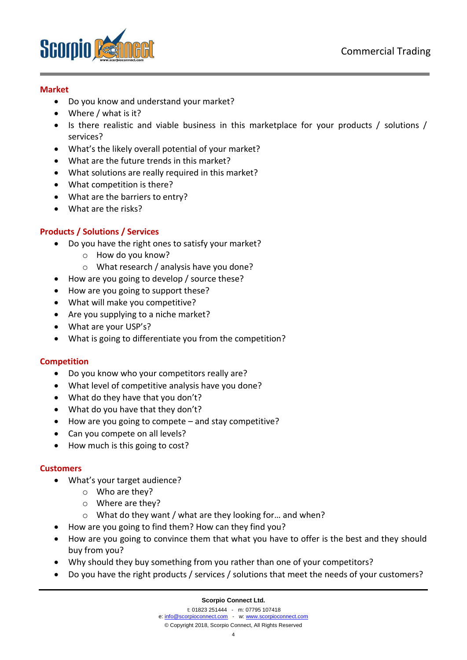

### **Market**

- Do you know and understand your market?
- Where / what is it?
- Is there realistic and viable business in this marketplace for your products / solutions / services?
- What's the likely overall potential of your market?
- What are the future trends in this market?
- What solutions are really required in this market?
- What competition is there?
- What are the barriers to entry?
- What are the risks?

#### **Products / Solutions / Services**

- Do you have the right ones to satisfy your market?
	- o How do you know?
	- o What research / analysis have you done?
- How are you going to develop / source these?
- How are you going to support these?
- What will make you competitive?
- Are you supplying to a niche market?
- What are your USP's?
- What is going to differentiate you from the competition?

#### **Competition**

- Do you know who your competitors really are?
- What level of competitive analysis have you done?
- What do they have that you don't?
- What do you have that they don't?
- How are you going to compete and stay competitive?
- Can you compete on all levels?
- How much is this going to cost?

#### **Customers**

- What's your target audience?
	- o Who are they?
	- o Where are they?
	- o What do they want / what are they looking for… and when?
- How are you going to find them? How can they find you?
- How are you going to convince them that what you have to offer is the best and they should buy from you?
- Why should they buy something from you rather than one of your competitors?
- Do you have the right products / services / solutions that meet the needs of your customers?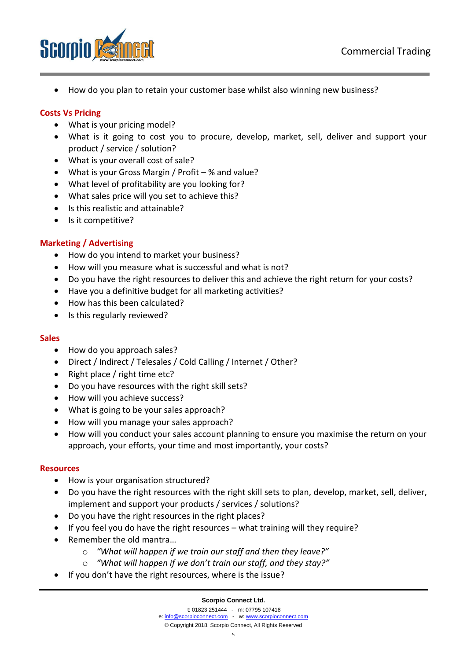

• How do you plan to retain your customer base whilst also winning new business?

### **Costs Vs Pricing**

- What is your pricing model?
- What is it going to cost you to procure, develop, market, sell, deliver and support your product / service / solution?
- What is your overall cost of sale?
- What is your Gross Margin / Profit % and value?
- What level of profitability are you looking for?
- What sales price will you set to achieve this?
- Is this realistic and attainable?
- Is it competitive?

## **Marketing / Advertising**

- How do you intend to market your business?
- How will you measure what is successful and what is not?
- Do you have the right resources to deliver this and achieve the right return for your costs?
- Have you a definitive budget for all marketing activities?
- How has this been calculated?
- Is this regularly reviewed?

#### **Sales**

- How do you approach sales?
- Direct / Indirect / Telesales / Cold Calling / Internet / Other?
- Right place / right time etc?
- Do you have resources with the right skill sets?
- How will you achieve success?
- What is going to be your sales approach?
- How will you manage your sales approach?
- How will you conduct your sales account planning to ensure you maximise the return on your approach, your efforts, your time and most importantly, your costs?

#### **Resources**

- How is your organisation structured?
- Do you have the right resources with the right skill sets to plan, develop, market, sell, deliver, implement and support your products / services / solutions?
- Do you have the right resources in the right places?
- If you feel you do have the right resources what training will they require?
- Remember the old mantra…
	- o *"What will happen if we train our staff and then they leave?"*
	- o *"What will happen if we don't train our staff, and they stay?"*
- If you don't have the right resources, where is the issue?